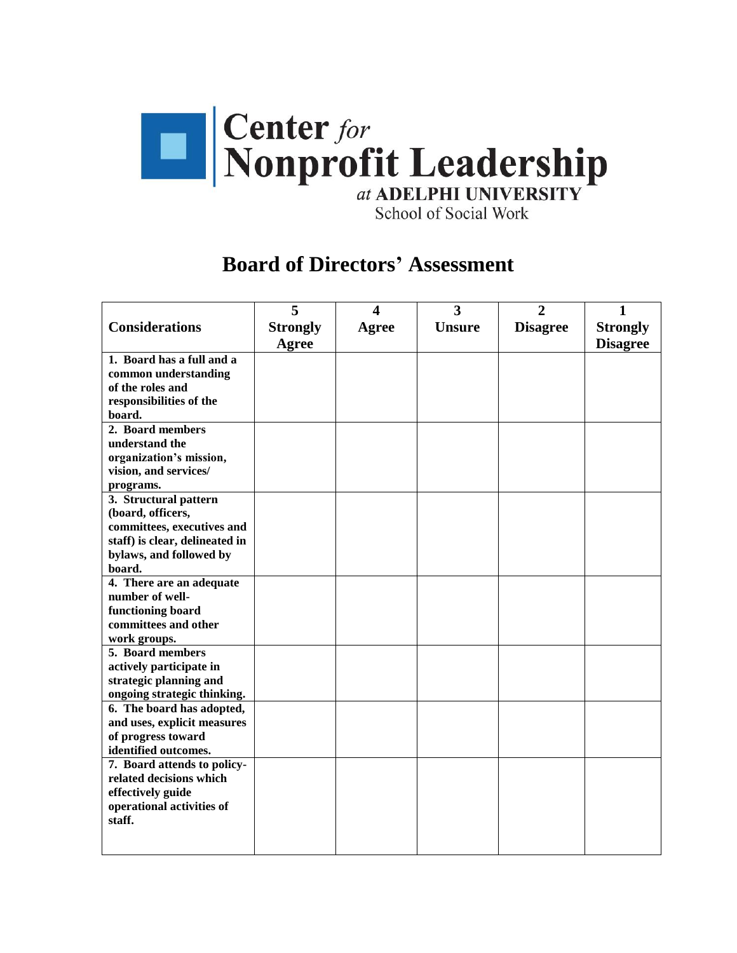

School of Social Work

## **Board of Directors' Assessment**

|                                           | 5               | 4            | $\overline{\mathbf{3}}$ | $\overline{2}$  | $\mathbf{1}$    |
|-------------------------------------------|-----------------|--------------|-------------------------|-----------------|-----------------|
| <b>Considerations</b>                     | <b>Strongly</b> | <b>Agree</b> | <b>Unsure</b>           | <b>Disagree</b> | <b>Strongly</b> |
|                                           | <b>Agree</b>    |              |                         |                 | <b>Disagree</b> |
| 1. Board has a full and a                 |                 |              |                         |                 |                 |
| common understanding                      |                 |              |                         |                 |                 |
| of the roles and                          |                 |              |                         |                 |                 |
| responsibilities of the                   |                 |              |                         |                 |                 |
| board.                                    |                 |              |                         |                 |                 |
| 2. Board members                          |                 |              |                         |                 |                 |
| understand the                            |                 |              |                         |                 |                 |
| organization's mission,                   |                 |              |                         |                 |                 |
| vision, and services/                     |                 |              |                         |                 |                 |
| programs.                                 |                 |              |                         |                 |                 |
| 3. Structural pattern                     |                 |              |                         |                 |                 |
| (board, officers,                         |                 |              |                         |                 |                 |
| committees, executives and                |                 |              |                         |                 |                 |
| staff) is clear, delineated in            |                 |              |                         |                 |                 |
| bylaws, and followed by                   |                 |              |                         |                 |                 |
| board.                                    |                 |              |                         |                 |                 |
| 4. There are an adequate                  |                 |              |                         |                 |                 |
| number of well-                           |                 |              |                         |                 |                 |
| functioning board<br>committees and other |                 |              |                         |                 |                 |
|                                           |                 |              |                         |                 |                 |
| work groups.<br>5. Board members          |                 |              |                         |                 |                 |
| actively participate in                   |                 |              |                         |                 |                 |
| strategic planning and                    |                 |              |                         |                 |                 |
| ongoing strategic thinking.               |                 |              |                         |                 |                 |
| 6. The board has adopted,                 |                 |              |                         |                 |                 |
| and uses, explicit measures               |                 |              |                         |                 |                 |
| of progress toward                        |                 |              |                         |                 |                 |
| identified outcomes.                      |                 |              |                         |                 |                 |
| 7. Board attends to policy-               |                 |              |                         |                 |                 |
| related decisions which                   |                 |              |                         |                 |                 |
| effectively guide                         |                 |              |                         |                 |                 |
| operational activities of                 |                 |              |                         |                 |                 |
| staff.                                    |                 |              |                         |                 |                 |
|                                           |                 |              |                         |                 |                 |
|                                           |                 |              |                         |                 |                 |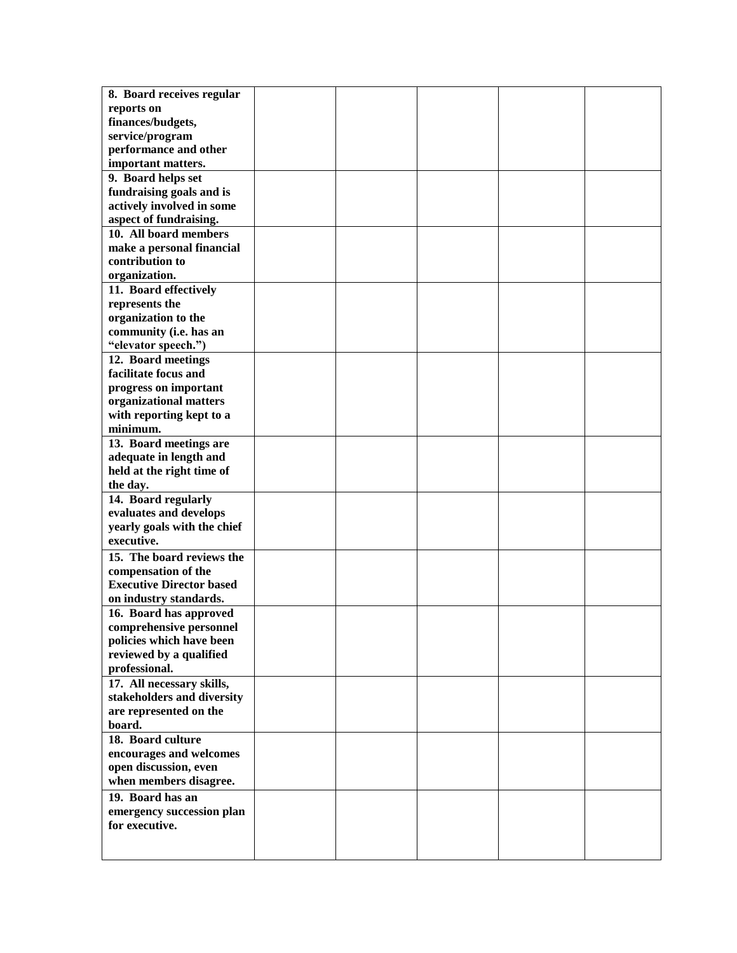| 8. Board receives regular       |  |  |  |
|---------------------------------|--|--|--|
| reports on                      |  |  |  |
| finances/budgets,               |  |  |  |
| service/program                 |  |  |  |
| performance and other           |  |  |  |
| important matters.              |  |  |  |
| 9. Board helps set              |  |  |  |
| fundraising goals and is        |  |  |  |
|                                 |  |  |  |
| actively involved in some       |  |  |  |
| aspect of fundraising.          |  |  |  |
| 10. All board members           |  |  |  |
| make a personal financial       |  |  |  |
| contribution to                 |  |  |  |
| organization.                   |  |  |  |
| 11. Board effectively           |  |  |  |
| represents the                  |  |  |  |
| organization to the             |  |  |  |
| community (i.e. has an          |  |  |  |
| "elevator speech.")             |  |  |  |
| 12. Board meetings              |  |  |  |
| facilitate focus and            |  |  |  |
| progress on important           |  |  |  |
| organizational matters          |  |  |  |
| with reporting kept to a        |  |  |  |
| minimum.                        |  |  |  |
| 13. Board meetings are          |  |  |  |
|                                 |  |  |  |
| adequate in length and          |  |  |  |
| held at the right time of       |  |  |  |
| the day.                        |  |  |  |
| 14. Board regularly             |  |  |  |
| evaluates and develops          |  |  |  |
| yearly goals with the chief     |  |  |  |
| executive.                      |  |  |  |
| 15. The board reviews the       |  |  |  |
| compensation of the             |  |  |  |
| <b>Executive Director based</b> |  |  |  |
| on industry standards.          |  |  |  |
| 16. Board has approved          |  |  |  |
| comprehensive personnel         |  |  |  |
| policies which have been        |  |  |  |
| reviewed by a qualified         |  |  |  |
| professional.                   |  |  |  |
| 17. All necessary skills,       |  |  |  |
| stakeholders and diversity      |  |  |  |
|                                 |  |  |  |
| are represented on the          |  |  |  |
| board.                          |  |  |  |
| 18. Board culture               |  |  |  |
| encourages and welcomes         |  |  |  |
| open discussion, even           |  |  |  |
| when members disagree.          |  |  |  |
| 19. Board has an                |  |  |  |
| emergency succession plan       |  |  |  |
| for executive.                  |  |  |  |
|                                 |  |  |  |
|                                 |  |  |  |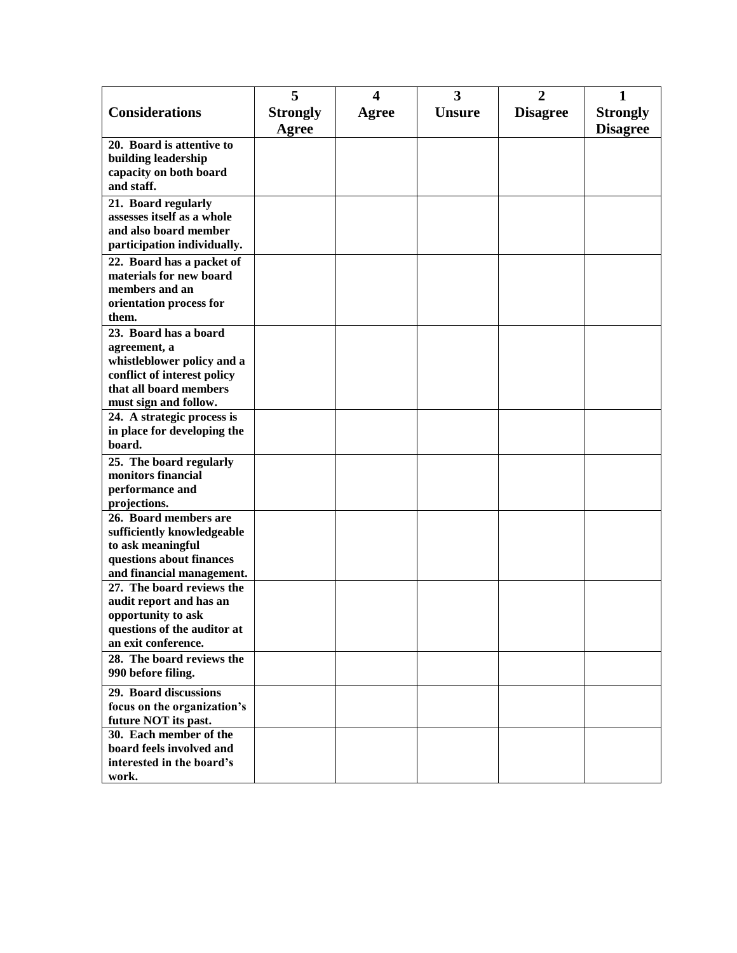|                                                           | 5               | 4     | 3             | $\overline{2}$  | 1               |
|-----------------------------------------------------------|-----------------|-------|---------------|-----------------|-----------------|
| <b>Considerations</b>                                     | <b>Strongly</b> | Agree | <b>Unsure</b> | <b>Disagree</b> | <b>Strongly</b> |
|                                                           | Agree           |       |               |                 | <b>Disagree</b> |
| 20. Board is attentive to                                 |                 |       |               |                 |                 |
| building leadership                                       |                 |       |               |                 |                 |
| capacity on both board                                    |                 |       |               |                 |                 |
| and staff.                                                |                 |       |               |                 |                 |
| 21. Board regularly                                       |                 |       |               |                 |                 |
| assesses itself as a whole                                |                 |       |               |                 |                 |
| and also board member                                     |                 |       |               |                 |                 |
| participation individually.                               |                 |       |               |                 |                 |
| 22. Board has a packet of                                 |                 |       |               |                 |                 |
| materials for new board                                   |                 |       |               |                 |                 |
| members and an                                            |                 |       |               |                 |                 |
| orientation process for                                   |                 |       |               |                 |                 |
| them.                                                     |                 |       |               |                 |                 |
| 23. Board has a board                                     |                 |       |               |                 |                 |
| agreement, a                                              |                 |       |               |                 |                 |
| whistleblower policy and a<br>conflict of interest policy |                 |       |               |                 |                 |
| that all board members                                    |                 |       |               |                 |                 |
| must sign and follow.                                     |                 |       |               |                 |                 |
| 24. A strategic process is                                |                 |       |               |                 |                 |
| in place for developing the                               |                 |       |               |                 |                 |
| board.                                                    |                 |       |               |                 |                 |
| 25. The board regularly                                   |                 |       |               |                 |                 |
| monitors financial                                        |                 |       |               |                 |                 |
| performance and                                           |                 |       |               |                 |                 |
| projections.                                              |                 |       |               |                 |                 |
| 26. Board members are                                     |                 |       |               |                 |                 |
| sufficiently knowledgeable                                |                 |       |               |                 |                 |
| to ask meaningful                                         |                 |       |               |                 |                 |
| questions about finances                                  |                 |       |               |                 |                 |
| and financial management.                                 |                 |       |               |                 |                 |
| 27. The board reviews the                                 |                 |       |               |                 |                 |
| audit report and has an                                   |                 |       |               |                 |                 |
| opportunity to ask<br>questions of the auditor at         |                 |       |               |                 |                 |
| an exit conference.                                       |                 |       |               |                 |                 |
| 28. The board reviews the                                 |                 |       |               |                 |                 |
| 990 before filing.                                        |                 |       |               |                 |                 |
| 29. Board discussions                                     |                 |       |               |                 |                 |
| focus on the organization's                               |                 |       |               |                 |                 |
| future NOT its past.                                      |                 |       |               |                 |                 |
| 30. Each member of the                                    |                 |       |               |                 |                 |
| board feels involved and                                  |                 |       |               |                 |                 |
| interested in the board's                                 |                 |       |               |                 |                 |
| work.                                                     |                 |       |               |                 |                 |